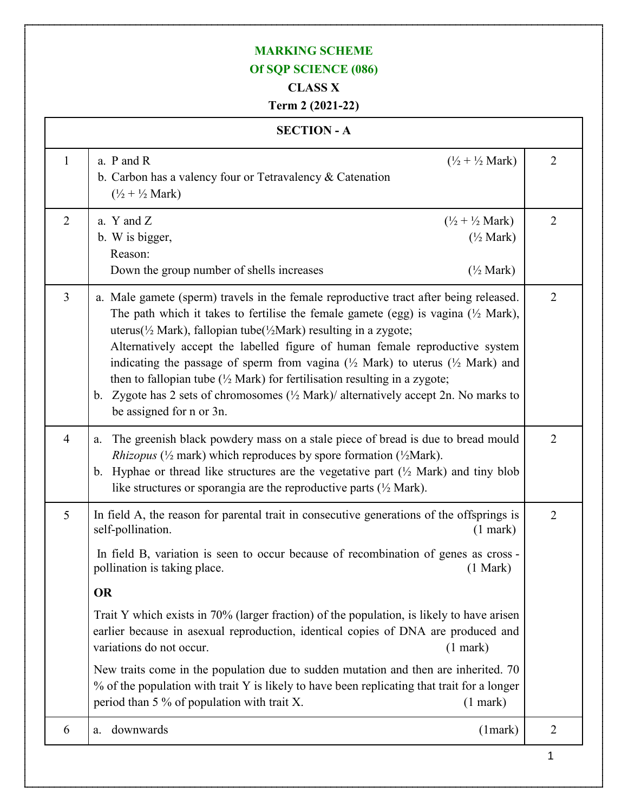## **MARKING SCHEME**

## **Of SQP SCIENCE (086)**

## **CLASS X**

## **Term 2 (2021-22)**

|                | <b>SECTION - A</b>                                                                                                                                                                                                                                                                                                                                                                                                                                                                                                                                                                                                                                                                                                                                             |                |
|----------------|----------------------------------------------------------------------------------------------------------------------------------------------------------------------------------------------------------------------------------------------------------------------------------------------------------------------------------------------------------------------------------------------------------------------------------------------------------------------------------------------------------------------------------------------------------------------------------------------------------------------------------------------------------------------------------------------------------------------------------------------------------------|----------------|
| $\mathbf{1}$   | $(\frac{1}{2} + \frac{1}{2}$ Mark)<br>a. P and R<br>b. Carbon has a valency four or Tetravalency & Catenation<br>$(\frac{1}{2} + \frac{1}{2}$ Mark)                                                                                                                                                                                                                                                                                                                                                                                                                                                                                                                                                                                                            | $\overline{2}$ |
| $\overline{2}$ | a. $Y$ and $Z$<br>$(\frac{1}{2} + \frac{1}{2}$ Mark)<br>b. W is bigger,<br>$(\frac{1}{2}$ Mark)<br>Reason:<br>$(\frac{1}{2}$ Mark)<br>Down the group number of shells increases                                                                                                                                                                                                                                                                                                                                                                                                                                                                                                                                                                                | $\overline{2}$ |
| 3              | a. Male gamete (sperm) travels in the female reproductive tract after being released.<br>The path which it takes to fertilise the female gamete (egg) is vagina $(\frac{1}{2}$ Mark),<br>uterus( $\frac{1}{2}$ Mark), fallopian tube( $\frac{1}{2}$ Mark) resulting in a zygote;<br>Alternatively accept the labelled figure of human female reproductive system<br>indicating the passage of sperm from vagina ( $\frac{1}{2}$ Mark) to uterus ( $\frac{1}{2}$ Mark) and<br>then to fallopian tube $(\frac{1}{2}$ Mark) for fertilisation resulting in a zygote;<br>b. Zygote has 2 sets of chromosomes $(\frac{1}{2}$ Mark)/ alternatively accept 2n. No marks to<br>be assigned for n or 3n.                                                                | $\overline{2}$ |
| $\overline{4}$ | The greenish black powdery mass on a stale piece of bread is due to bread mould<br>a.<br><i>Rhizopus</i> ( $\frac{1}{2}$ mark) which reproduces by spore formation ( $\frac{1}{2}$ Mark).<br>Hyphae or thread like structures are the vegetative part $(\frac{1}{2}$ Mark) and tiny blob<br>$\mathbf{b}$ .<br>like structures or sporangia are the reproductive parts $(\frac{1}{2}$ Mark).                                                                                                                                                                                                                                                                                                                                                                    | 2              |
| 5              | In field A, the reason for parental trait in consecutive generations of the offsprings is<br>self-pollination.<br>$(1$ mark $)$<br>In field B, variation is seen to occur because of recombination of genes as cross -<br>pollination is taking place.<br>(1 Mark)<br><b>OR</b><br>Trait Y which exists in 70% (larger fraction) of the population, is likely to have arisen<br>earlier because in asexual reproduction, identical copies of DNA are produced and<br>variations do not occur.<br>$(1$ mark)<br>New traits come in the population due to sudden mutation and then are inherited. 70<br>% of the population with trait Y is likely to have been replicating that trait for a longer<br>period than 5 % of population with trait X.<br>$(1$ mark) | $\overline{2}$ |
| 6              | downwards<br>(1 mark)<br>a.                                                                                                                                                                                                                                                                                                                                                                                                                                                                                                                                                                                                                                                                                                                                    | $\overline{2}$ |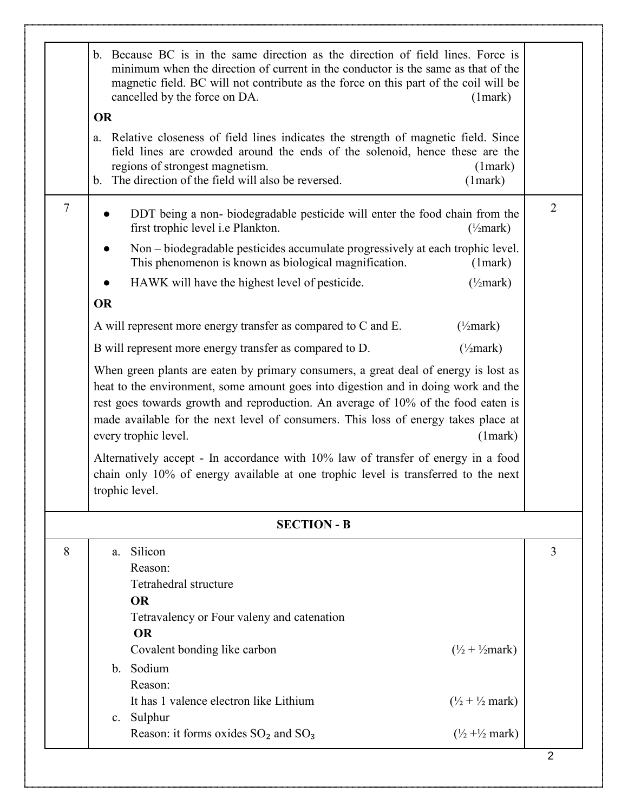|        | b. Because BC is in the same direction as the direction of field lines. Force is<br>minimum when the direction of current in the conductor is the same as that of the<br>magnetic field. BC will not contribute as the force on this part of the coil will be<br>cancelled by the force on DA.<br>(1 mark)<br><b>OR</b>                                                                                                                                                                                                                                                                                                                                                                                                                                                                                                                                                                                                                                                                                                                                                                                                                                    |                |
|--------|------------------------------------------------------------------------------------------------------------------------------------------------------------------------------------------------------------------------------------------------------------------------------------------------------------------------------------------------------------------------------------------------------------------------------------------------------------------------------------------------------------------------------------------------------------------------------------------------------------------------------------------------------------------------------------------------------------------------------------------------------------------------------------------------------------------------------------------------------------------------------------------------------------------------------------------------------------------------------------------------------------------------------------------------------------------------------------------------------------------------------------------------------------|----------------|
|        | Relative closeness of field lines indicates the strength of magnetic field. Since<br>a.<br>field lines are crowded around the ends of the solenoid, hence these are the<br>regions of strongest magnetism.<br>(1 mark)<br>b. The direction of the field will also be reversed.<br>(1 mark)                                                                                                                                                                                                                                                                                                                                                                                                                                                                                                                                                                                                                                                                                                                                                                                                                                                                 |                |
| $\tau$ | DDT being a non-biodegradable pesticide will enter the food chain from the<br>first trophic level i.e Plankton.<br>$(\frac{1}{2}$ mark)<br>Non – biodegradable pesticides accumulate progressively at each trophic level.<br>This phenomenon is known as biological magnification.<br>(1 mark)<br>HAWK will have the highest level of pesticide.<br>$(\frac{1}{2}$ mark)<br><b>OR</b><br>A will represent more energy transfer as compared to C and E.<br>$(\frac{1}{2}$ mark)<br>B will represent more energy transfer as compared to D.<br>$(\frac{1}{2}$ mark)<br>When green plants are eaten by primary consumers, a great deal of energy is lost as<br>heat to the environment, some amount goes into digestion and in doing work and the<br>rest goes towards growth and reproduction. An average of 10% of the food eaten is<br>made available for the next level of consumers. This loss of energy takes place at<br>every trophic level.<br>(1 mark)<br>Alternatively accept - In accordance with 10% law of transfer of energy in a food<br>chain only 10% of energy available at one trophic level is transferred to the next<br>trophic level. | $\overline{2}$ |
|        | <b>SECTION - B</b>                                                                                                                                                                                                                                                                                                                                                                                                                                                                                                                                                                                                                                                                                                                                                                                                                                                                                                                                                                                                                                                                                                                                         |                |
| 8      | Silicon<br>a.<br>Reason:<br>Tetrahedral structure<br><b>OR</b><br>Tetravalency or Four valeny and catenation<br><b>OR</b>                                                                                                                                                                                                                                                                                                                                                                                                                                                                                                                                                                                                                                                                                                                                                                                                                                                                                                                                                                                                                                  | $\overline{3}$ |
|        | Covalent bonding like carbon<br>$(\frac{1}{2} + \frac{1}{2}$ mark)<br>b. Sodium<br>Reason:<br>It has 1 valence electron like Lithium<br>$(\frac{1}{2} + \frac{1}{2}$ mark)                                                                                                                                                                                                                                                                                                                                                                                                                                                                                                                                                                                                                                                                                                                                                                                                                                                                                                                                                                                 |                |
|        | c. Sulphur<br>Reason: it forms oxides $SO_2$ and $SO_3$<br>$(\frac{1}{2} + \frac{1}{2}$ mark)                                                                                                                                                                                                                                                                                                                                                                                                                                                                                                                                                                                                                                                                                                                                                                                                                                                                                                                                                                                                                                                              | $\overline{2}$ |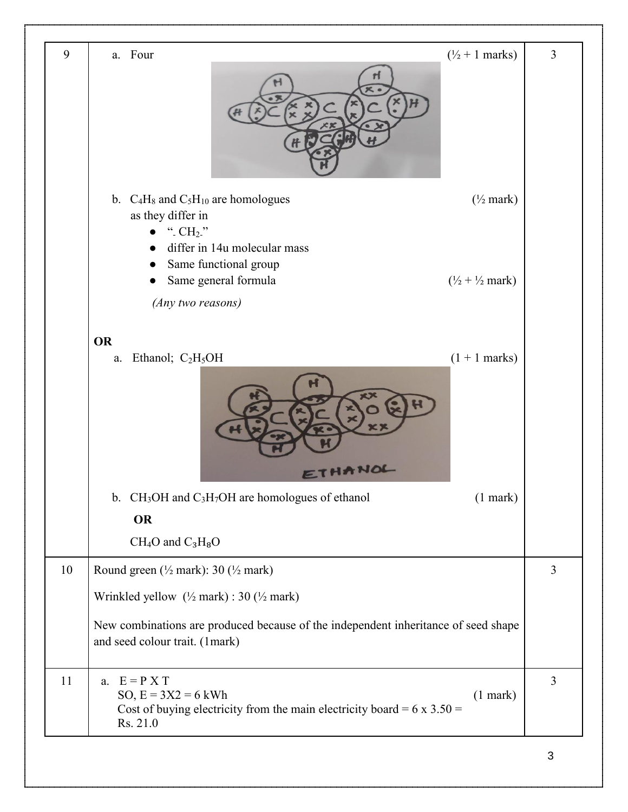| 9  | a. Four<br>$(\frac{1}{2} + 1 \text{ marks})$                                                                                                                                                                                  | 3              |
|----|-------------------------------------------------------------------------------------------------------------------------------------------------------------------------------------------------------------------------------|----------------|
|    | b. $C_4H_8$ and $C_5H_{10}$ are homologues<br>$(\frac{1}{2}$ mark)<br>as they differ in<br>". $CH2$ ."<br>differ in 14u molecular mass<br>Same functional group<br>$(\frac{1}{2} + \frac{1}{2}$ mark)<br>Same general formula |                |
|    | (Any two reasons)<br><b>OR</b>                                                                                                                                                                                                |                |
|    | $(1 + 1$ marks)<br>Ethanol; $C_2H_5OH$<br>a.<br>ETHANOL                                                                                                                                                                       |                |
|    | b. $CH_3OH$ and $C_3H_7OH$ are homologues of ethanol<br>$(1$ mark $)$                                                                                                                                                         |                |
|    | <b>OR</b><br>$CH_4O$ and $C_3H_8O$                                                                                                                                                                                            |                |
| 10 | Round green $(\frac{1}{2}$ mark): 30 $(\frac{1}{2}$ mark)                                                                                                                                                                     | $\overline{3}$ |
|    | Wrinkled yellow (1/2 mark) : 30 (1/2 mark)                                                                                                                                                                                    |                |
|    | New combinations are produced because of the independent inheritance of seed shape<br>and seed colour trait. (1mark)                                                                                                          |                |
| 11 | a. $E = P X T$<br>SO, $E = 3X2 = 6$ kWh<br>$(1$ mark $)$<br>Cost of buying electricity from the main electricity board = $6 \times 3.50 =$<br>Rs. 21.0                                                                        | $\mathfrak{Z}$ |
|    |                                                                                                                                                                                                                               | 3              |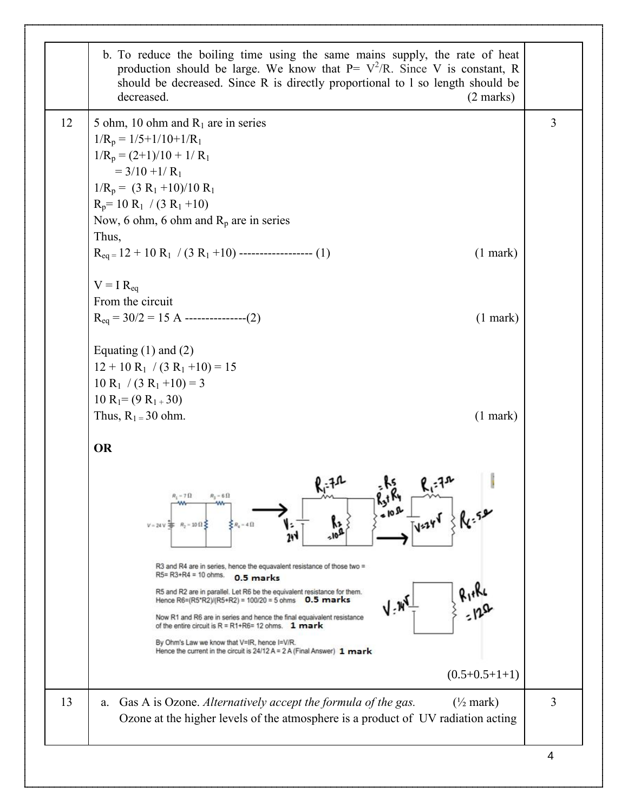|                | b. To reduce the boiling time using the same mains supply, the rate of heat<br>production should be large. We know that $P = V^2/R$ . Since V is constant, R<br>should be decreased. Since R is directly proportional to 1 so length should be<br>decreased.<br>$(2 \text{ marks})$                                                                                                                                                                                                                                                                                                                                                                                                                                                                                        |    |
|----------------|----------------------------------------------------------------------------------------------------------------------------------------------------------------------------------------------------------------------------------------------------------------------------------------------------------------------------------------------------------------------------------------------------------------------------------------------------------------------------------------------------------------------------------------------------------------------------------------------------------------------------------------------------------------------------------------------------------------------------------------------------------------------------|----|
| $\overline{3}$ | 5 ohm, 10 ohm and $R_1$ are in series<br>$1/R_p = 1/5 + 1/10 + 1/R_1$<br>$1/R_p = (2+1)/10 + 1/R_1$<br>$= 3/10 + 1/R_1$<br>$1/R_p = (3 R_1 + 10)/10 R_1$<br>$R_p = 10 R_1 / (3 R_1 + 10)$<br>Now, 6 ohm, 6 ohm and $R_p$ are in series<br>Thus,<br>$R_{eq} = 12 + 10 R_1 / (3 R_1 + 10)$ -------------------- (1)<br>$(1$ mark)                                                                                                                                                                                                                                                                                                                                                                                                                                            | 12 |
|                | $V = I R_{eq}$<br>From the circuit<br>$R_{eq} = 30/2 = 15$ A ---------------(2)<br>$(1$ mark)                                                                                                                                                                                                                                                                                                                                                                                                                                                                                                                                                                                                                                                                              |    |
|                | Equating $(1)$ and $(2)$<br>$12 + 10 R_1 / (3 R_1 + 10) = 15$<br>$10 R_1 / (3 R_1 + 10) = 3$<br>$10 R_1 = (9 R_1 + 30)$<br>Thus, $R_1 = 30$ ohm.<br>$(1$ mark)                                                                                                                                                                                                                                                                                                                                                                                                                                                                                                                                                                                                             |    |
|                | <b>OR</b><br>$-7\Omega$<br>$R_1 - 6 \Omega$<br>kstNy<br><b>410R</b><br>$\frac{1}{2}$ 1924 $\frac{1}{2}$ $\frac{1}{2}$ $\frac{1}{2}$<br>١ż<br>$\sum R_i = 4 \Omega$<br>$R_1 = 10 \Omega$<br>$V = 24 V$<br>144<br>R3 and R4 are in series, hence the equavalent resistance of those two $=$<br>$R5 = R3 + R4 = 10$ ohms.<br>0.5 marks<br>R5 and R2 are in parallel. Let R6 be the equivalent resistance for them.<br>Hence $R6=(R5'R2)/(R5+R2) = 100/20 = 5$ ohms 0.5 marks<br>$V$ - $W$<br>Now R1 and R6 are in series and hence the final equaivalent resistance<br>of the entire circuit is $R = R1 + R6 = 12$ ohms. 1 mark<br>By Ohm's Law we know that V=IR, hence I=V/R.<br>Hence the current in the circuit is 24/12 A = 2 A (Final Answer) 1 mark<br>$(0.5+0.5+1+1)$ |    |
| 3              | Gas A is Ozone. Alternatively accept the formula of the gas.<br>$(\frac{1}{2}$ mark)<br>a.<br>Ozone at the higher levels of the atmosphere is a product of UV radiation acting                                                                                                                                                                                                                                                                                                                                                                                                                                                                                                                                                                                             | 13 |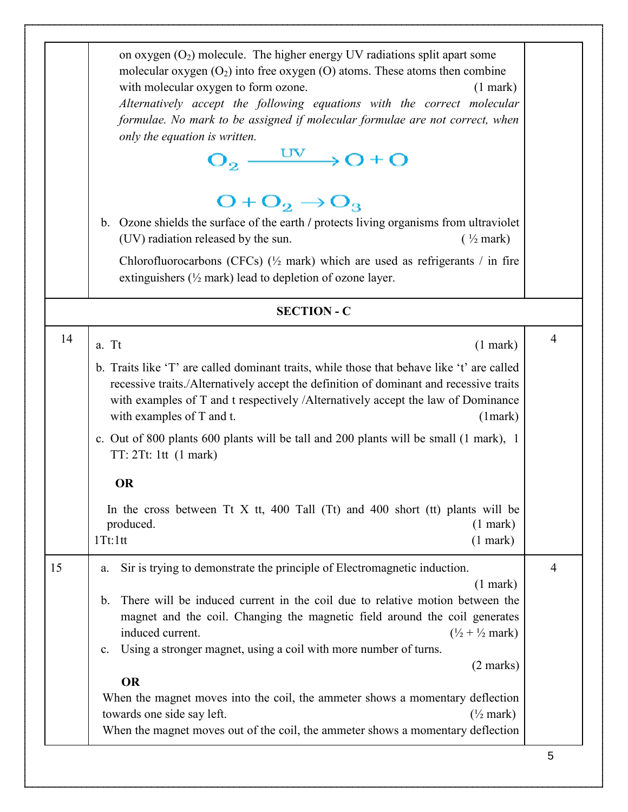|    | on oxygen $(O_2)$ molecule. The higher energy UV radiations split apart some<br>molecular oxygen $(O_2)$ into free oxygen $(O)$ atoms. These atoms then combine<br>with molecular oxygen to form ozone.<br>$(1$ mark $)$<br>Alternatively accept the following equations with the correct molecular<br>formulae. No mark to be assigned if molecular formulae are not correct, when<br>only the equation is written.<br>$O_2 \xrightarrow{UV} O + O$<br>$O + O_2 \rightarrow O_3$<br>b. Ozone shields the surface of the earth / protects living organisms from ultraviolet<br>(UV) radiation released by the sun.<br>$(\frac{1}{2}$ mark)                                                 |                |
|----|--------------------------------------------------------------------------------------------------------------------------------------------------------------------------------------------------------------------------------------------------------------------------------------------------------------------------------------------------------------------------------------------------------------------------------------------------------------------------------------------------------------------------------------------------------------------------------------------------------------------------------------------------------------------------------------------|----------------|
|    | Chlorofluorocarbons (CFCs) $(\frac{1}{2}$ mark) which are used as refrigerants / in fire<br>extinguishers $(\frac{1}{2}$ mark) lead to depletion of ozone layer.                                                                                                                                                                                                                                                                                                                                                                                                                                                                                                                           |                |
|    | <b>SECTION - C</b>                                                                                                                                                                                                                                                                                                                                                                                                                                                                                                                                                                                                                                                                         |                |
| 14 | a. Tt<br>$(1$ mark)<br>b. Traits like 'T' are called dominant traits, while those that behave like 't' are called<br>recessive traits./Alternatively accept the definition of dominant and recessive traits<br>with examples of T and t respectively /Alternatively accept the law of Dominance<br>with examples of T and t.<br>(1 mark)<br>c. Out of 800 plants 600 plants will be tall and 200 plants will be small (1 mark), 1<br>TT: 2Tt: 1tt (1 mark)<br><b>OR</b><br>In the cross between Tt X tt, 400 Tall (Tt) and 400 short (tt) plants will be<br>produced.<br>$(1$ mark $)$<br>$(1$ mark $)$<br>1Tt:1tt                                                                         | $\overline{4}$ |
| 15 | Sir is trying to demonstrate the principle of Electromagnetic induction.<br>a.<br>$(1$ mark)<br>There will be induced current in the coil due to relative motion between the<br>$\mathbf{b}$ .<br>magnet and the coil. Changing the magnetic field around the coil generates<br>induced current.<br>$(\frac{1}{2} + \frac{1}{2}$ mark)<br>Using a stronger magnet, using a coil with more number of turns.<br>$\mathbf{c}$ .<br>$(2 \text{ marks})$<br><b>OR</b><br>When the magnet moves into the coil, the ammeter shows a momentary deflection<br>towards one side say left.<br>$(\frac{1}{2}$ mark)<br>When the magnet moves out of the coil, the ammeter shows a momentary deflection | $\overline{4}$ |